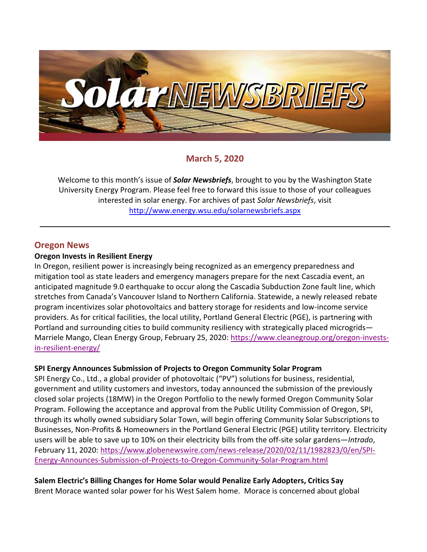

# **March 5, 2020**

Welcome to this month's issue of *Solar Newsbriefs*, brought to you by the Washington State University Energy Program. Please feel free to forward this issue to those of your colleagues interested in solar energy. For archives of past *Solar Newsbriefs*, visit <http://www.energy.wsu.edu/solarnewsbriefs.aspx>

## **Oregon News**

### **Oregon Invests in Resilient Energy**

In Oregon, resilient power is increasingly being recognized as an emergency preparedness and mitigation tool as state leaders and emergency managers prepare for the next Cascadia event, an anticipated magnitude 9.0 earthquake to occur along the Cascadia Subduction Zone fault line, which stretches from Canada's Vancouver Island to Northern California. Statewide, a newly released [rebate](https://www.oregon.gov/energy/Incentives/Pages/Solar-Storage-Rebate-Program.aspx) program incentivizes solar photovoltaics and battery storage for residents and low-income service providers. As for critical facilities, the local utility, Portland General Electric (PGE), is partnering with Portland and surrounding cities to build community resiliency with strategically placed [microgrids](https://microgridknowledge.com/microgrids-resiliency-cities/)— Marriele Mango, Clean Energy Group, February 25, 2020: [https://www.cleanegroup.org/oregon-invests](https://www.cleanegroup.org/oregon-invests-in-resilient-energy/)[in-resilient-energy/](https://www.cleanegroup.org/oregon-invests-in-resilient-energy/)

## **SPI Energy Announces Submission of Projects to Oregon Community Solar Program**

SPI Energy Co., Ltd., a global provider of photovoltaic ("PV") solutions for business, residential, government and utility customers and investors, today announced the submission of the previously closed solar projects (18MW) in the Oregon Portfolio to the newly formed Oregon Community Solar Program. Following the acceptance and approval from the Public Utility Commission of Oregon, SPI, through its wholly owned subsidiary Solar Town, will begin offering Community Solar Subscriptions to Businesses, Non-Profits & Homeowners in the Portland General Electric (PGE) utility territory. Electricity users will be able to save up to 10% on their electricity bills from the off-site solar gardens—*Intrado*, February 11, 2020: [https://www.globenewswire.com/news-release/2020/02/11/1982823/0/en/SPI-](https://www.globenewswire.com/news-release/2020/02/11/1982823/0/en/SPI-Energy-Announces-Submission-of-Projects-to-Oregon-Community-Solar-Program.html)[Energy-Announces-Submission-of-Projects-to-Oregon-Community-Solar-Program.html](https://www.globenewswire.com/news-release/2020/02/11/1982823/0/en/SPI-Energy-Announces-Submission-of-Projects-to-Oregon-Community-Solar-Program.html)

**Salem Electric's Billing Changes for Home Solar would Penalize Early Adopters, Critics Say** 

Brent Morace wanted solar power for his West Salem home. Morace is concerned about global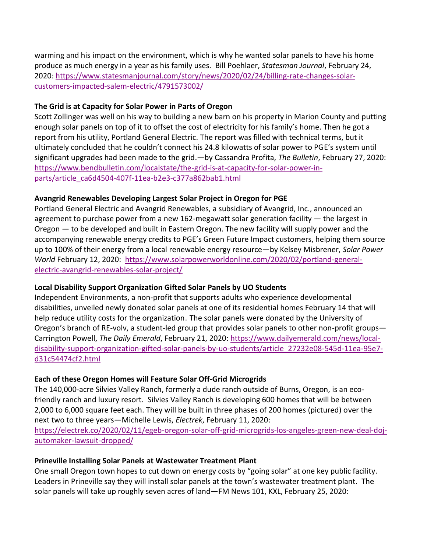warming and his impact on the environment, which is why he wanted solar panels to have his home produce as much energy in a year as his family uses. Bill Poehlaer, *Statesman Journal*, February 24, 2020: [https://www.statesmanjournal.com/story/news/2020/02/24/billing-rate-changes-solar](https://www.statesmanjournal.com/story/news/2020/02/24/billing-rate-changes-solar-customers-impacted-salem-electric/4791573002/)[customers-impacted-salem-electric/4791573002/](https://www.statesmanjournal.com/story/news/2020/02/24/billing-rate-changes-solar-customers-impacted-salem-electric/4791573002/)

## **The Grid is at Capacity for Solar Power in Parts of Oregon**

Scott Zollinger was well on his way to building a new barn on his property in Marion County and putting enough solar panels on top of it to offset the cost of electricity for his family's home. Then he got a report from his utility, Portland General Electric. The report was filled with technical terms, but it ultimately concluded that he couldn't connect his 24.8 kilowatts of solar power to PGE's system until significant upgrades had been made to the grid.—by Cassandra Profita, *The Bulletin*, February 27, 2020: [https://www.bendbulletin.com/localstate/the-grid-is-at-capacity-for-solar-power-in](https://www.bendbulletin.com/localstate/the-grid-is-at-capacity-for-solar-power-in-parts/article_ca6d4504-407f-11ea-b2e3-c377a862bab1.html)[parts/article\\_ca6d4504-407f-11ea-b2e3-c377a862bab1.html](https://www.bendbulletin.com/localstate/the-grid-is-at-capacity-for-solar-power-in-parts/article_ca6d4504-407f-11ea-b2e3-c377a862bab1.html)

### **Avangrid Renewables Developing Largest Solar Project in Oregon for PGE**

Portland General Electric and Avangrid Renewables, a subsidiary of Avangrid, Inc., announced an agreement to purchase power from a new 162-megawatt solar generation facility  $-$  the largest in Oregon — to be developed and built in Eastern Oregon. The new facility will supply power and the accompanying renewable energy credits to PGE's Green Future Impact customers, helping them source up to 100% of their energy from a local renewable energy resource—by Kelsey Misbrener, *Solar Power World* February 12, 2020: [https://www.solarpowerworldonline.com/2020/02/portland-general](https://www.solarpowerworldonline.com/2020/02/portland-general-electric-avangrid-renewables-solar-project/)[electric-avangrid-renewables-solar-project/](https://www.solarpowerworldonline.com/2020/02/portland-general-electric-avangrid-renewables-solar-project/)

## **Local Disability Support Organization Gifted Solar Panels by UO Students**

Independent Environments, a non-profit that supports adults who experience developmental disabilities, unveiled newly donated solar panels at one of its residential homes February 14 that will help reduce utility costs for the organization. The solar panels were donated by the University of Oregon's branch of RE-volv, a student-led group that provides solar panels to other non-profit groups— Carrington Powell, *The Daily Emerald*, February 21, 2020: [https://www.dailyemerald.com/news/local](https://www.dailyemerald.com/news/local-disability-support-organization-gifted-solar-panels-by-uo-students/article_27232e08-545d-11ea-95e7-d31c54474cf2.html)[disability-support-organization-gifted-solar-panels-by-uo-students/article\\_27232e08-545d-11ea-95e7](https://www.dailyemerald.com/news/local-disability-support-organization-gifted-solar-panels-by-uo-students/article_27232e08-545d-11ea-95e7-d31c54474cf2.html) [d31c54474cf2.html](https://www.dailyemerald.com/news/local-disability-support-organization-gifted-solar-panels-by-uo-students/article_27232e08-545d-11ea-95e7-d31c54474cf2.html)

#### **Each of these Oregon Homes will Feature Solar Off-Grid Microgrids**

The 140,000-acre [Silvies Valley Ranch,](https://silvies.us/index.php) formerly a dude ranch outside of Burns, Oregon, is an ecofriendly ranch and luxury resort. Silvies Valley Ranch is developing 600 homes that will be between 2,000 to 6,000 square feet each. They will be built in three phases of 200 homes (pictured) over the next two to three years—Michelle Lewis, *Electrek*, February 11, 2020:

[https://electrek.co/2020/02/11/egeb-oregon-solar-off-grid-microgrids-los-angeles-green-new-deal-doj](https://electrek.co/2020/02/11/egeb-oregon-solar-off-grid-microgrids-los-angeles-green-new-deal-doj-automaker-lawsuit-dropped/)[automaker-lawsuit-dropped/](https://electrek.co/2020/02/11/egeb-oregon-solar-off-grid-microgrids-los-angeles-green-new-deal-doj-automaker-lawsuit-dropped/)

#### **Prineville Installing Solar Panels at Wastewater Treatment Plant**

One small Oregon town hopes to cut down on energy costs by "going solar" at one key public facility. Leaders in Prineville say they will install solar panels at the town's wastewater treatment plant. The solar panels will take up roughly seven acres of land—FM News 101, KXL, February 25, 2020: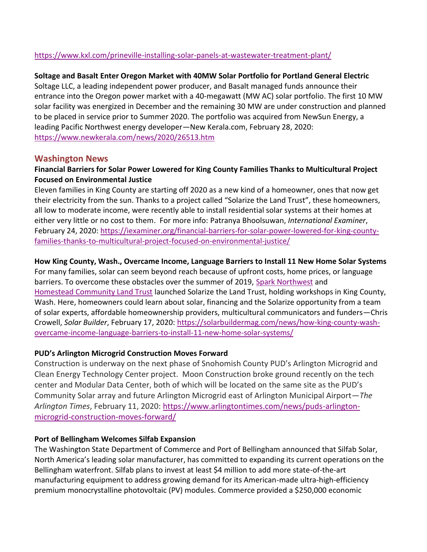## <https://www.kxl.com/prineville-installing-solar-panels-at-wastewater-treatment-plant/>

## **Soltage and Basalt Enter Oregon Market with 40MW Solar Portfolio for Portland General Electric**

Soltage LLC, a leading independent power producer, and Basalt managed funds announce their entrance into the Oregon power market with a 40-megawatt (MW AC) solar portfolio. The first 10 MW solar facility was energized in December and the remaining 30 MW are under construction and planned to be placed in service prior to Summer 2020. The portfolio was acquired from NewSun Energy, a leading Pacific Northwest energy developer—New Kerala.com, February 28, 2020: <https://www.newkerala.com/news/2020/26513.htm>

## **Washington News**

## **Financial Barriers for Solar Power Lowered for King County Families Thanks to Multicultural Project Focused on Environmental Justice**

Eleven families in King County are starting off 2020 as a new kind of a homeowner, ones that now get their electricity from the sun. Thanks to a project called "Solarize the Land Trust", these homeowners, all low to moderate income, were recently able to install residential solar systems at their homes at either very little or no cost to them. For more info: Patranya Bhoolsuwan, *International Examiner*, February 24, 2020: [https://iexaminer.org/financial-barriers-for-solar-power-lowered-for-king-county](https://iexaminer.org/financial-barriers-for-solar-power-lowered-for-king-county-families-thanks-to-multicultural-project-focused-on-environmental-justice/)[families-thanks-to-multicultural-project-focused-on-environmental-justice/](https://iexaminer.org/financial-barriers-for-solar-power-lowered-for-king-county-families-thanks-to-multicultural-project-focused-on-environmental-justice/)

## **How King County, Wash., Overcame Income, Language Barriers to Install 11 New Home Solar Systems**

For many families, solar can seem beyond reach because of upfront costs, home prices, or language barriers. To overcome these obstacles over the summer of 2019, [Spark Northwest](https://sparknorthwest.org/) and Homestead [Community Land Trust](http://www.homesteadclt.org/) launched Solarize the Land Trust, holding workshops in King County, Wash. Here, homeowners could learn about solar, financing and the [Solarize](https://www.nrel.gov/docs/fy12osti/54738.pdf) opportunity from a team of solar experts, affordable homeownership providers, multicultural communicators and funders—Chris Crowell, *Solar Builder*, February 17, 2020: [https://solarbuildermag.com/news/how-king-county-wash](https://solarbuildermag.com/news/how-king-county-wash-overcame-income-language-barriers-to-install-11-new-home-solar-systems/)[overcame-income-language-barriers-to-install-11-new-home-solar-systems/](https://solarbuildermag.com/news/how-king-county-wash-overcame-income-language-barriers-to-install-11-new-home-solar-systems/)

## **PUD's Arlington Microgrid Construction Moves Forward**

Construction is underway on the next phase of Snohomish County PUD's Arlington Microgrid and Clean Energy Technology Center project. Moon Construction broke ground recently on the tech center and Modular Data Center, both of which will be located on the same site as the PUD's Community Solar array and future Arlington Microgrid east of Arlington Municipal Airport—*The Arlington Times*, February 11, 2020: [https://www.arlingtontimes.com/news/puds-arlington](https://www.arlingtontimes.com/news/puds-arlington-microgrid-construction-moves-forward/)[microgrid-construction-moves-forward/](https://www.arlingtontimes.com/news/puds-arlington-microgrid-construction-moves-forward/)

## **Port of Bellingham Welcomes Silfab Expansion**

The Washington State Department of Commerce and Port of Bellingham announced that Silfab Solar, North America's leading solar manufacturer, has committed to expanding its current operations on the Bellingham waterfront. Silfab plans to invest at least \$4 million to add more state-of-the-art manufacturing equipment to address growing demand for its American-made ultra-high-efficiency premium monocrystalline photovoltaic (PV) modules. Commerce provided a \$250,000 economic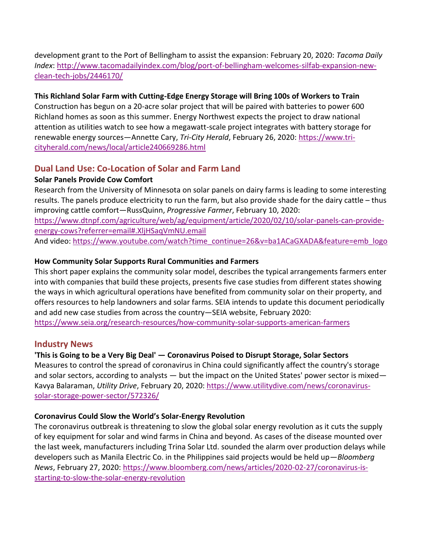development grant to the Port of Bellingham to assist the expansion: February 20, 2020: *Tacoma Daily Index*: [http://www.tacomadailyindex.com/blog/port-of-bellingham-welcomes-silfab-expansion-new](http://www.tacomadailyindex.com/blog/port-of-bellingham-welcomes-silfab-expansion-new-clean-tech-jobs/2446170/)[clean-tech-jobs/2446170/](http://www.tacomadailyindex.com/blog/port-of-bellingham-welcomes-silfab-expansion-new-clean-tech-jobs/2446170/)

## **This Richland Solar Farm with Cutting-Edge Energy Storage will Bring 100s of Workers to Train**

Construction has begun on a 20-acre [solar project that will be paired with batteries](https://www.tri-cityherald.com/news/local/article220637390.html) to power 600 Richland homes as soon as this summer. [Energy Northwest](https://www.energy-northwest.com/Pages/default.aspx) expects the project to draw national attention as utilities watch to see how a megawatt-scale project integrates with battery storage for renewable energy sources—Annette Cary, *Tri-City Herald*, February 26, 2020: [https://www.tri](https://www.tri-cityherald.com/news/local/article240669286.html)[cityherald.com/news/local/article240669286.html](https://www.tri-cityherald.com/news/local/article240669286.html)

# **Dual Land Use: Co-Location of Solar and Farm Land**

## **Solar Panels Provide Cow Comfort**

Research from the University of Minnesota on solar panels on dairy farms is leading to some interesting results. The panels produce electricity to run the farm, but also provide shade for the dairy cattle – thus improving cattle comfort—RussQuinn, *Progressive Farmer*, February 10, 2020: [https://www.dtnpf.com/agriculture/web/ag/equipment/article/2020/02/10/solar-panels-can-provide](https://www.dtnpf.com/agriculture/web/ag/equipment/article/2020/02/10/solar-panels-can-provide-energy-cows?referrer=email#.XljHSaqVmNU.email)[energy-cows?referrer=email#.XljHSaqVmNU.email](https://www.dtnpf.com/agriculture/web/ag/equipment/article/2020/02/10/solar-panels-can-provide-energy-cows?referrer=email#.XljHSaqVmNU.email) And video: [https://www.youtube.com/watch?time\\_continue=26&v=ba1ACaGXADA&feature=emb\\_logo](https://www.youtube.com/watch?time_continue=26&v=ba1ACaGXADA&feature=emb_logo)

# **How Community Solar Supports Rural Communities and Farmers**

This short paper explains the community solar model, describes the typical arrangements farmers enter into with companies that build these projects, presents five case studies from different states showing the ways in which agricultural operations have benefited from community solar on their property, and offers resources to help landowners and solar farms. SEIA intends to update this document periodically and add new case studies from across the country—SEIA website, February 2020: <https://www.seia.org/research-resources/how-community-solar-supports-american-farmers>

# **Industry News**

# **'This is Going to be a Very Big Deal' — Coronavirus Poised to Disrupt Storage, Solar Sectors**

Measures to control the spread of coronavirus in China could significantly affect the country's storage and solar sectors, according to analysts — but the impact on the United States' power sector is mixed— Kavya Balaraman, *Utility Drive*, February 20, 2020: [https://www.utilitydive.com/news/coronavirus](https://www.utilitydive.com/news/coronavirus-solar-storage-power-sector/572326/)[solar-storage-power-sector/572326/](https://www.utilitydive.com/news/coronavirus-solar-storage-power-sector/572326/)

# **Coronavirus Could Slow the World's Solar-Energy Revolution**

The coronavirus outbreak is threatening to slow the global solar energy revolution as it cuts the supply of key equipment for solar and wind farms in China and beyond. As cases of the disease mounted over the last week, manufacturers including Trina Solar Ltd. sounded the alarm over production delays while developers such as Manila Electric Co. in the Philippines said projects would be held up—*Bloomberg News*, February 27, 2020: [https://www.bloomberg.com/news/articles/2020-02-27/coronavirus-is](https://www.bloomberg.com/news/articles/2020-02-27/coronavirus-is-starting-to-slow-the-solar-energy-revolution)[starting-to-slow-the-solar-energy-revolution](https://www.bloomberg.com/news/articles/2020-02-27/coronavirus-is-starting-to-slow-the-solar-energy-revolution)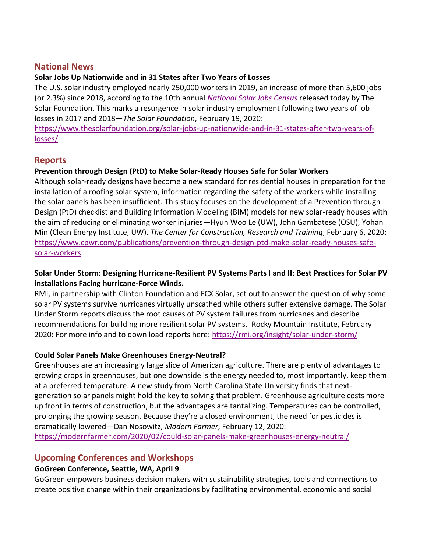# **National News**

# **Solar Jobs Up Nationwide and in 31 States after Two Years of Losses**

The U.S. solar industry employed nearly 250,000 workers in 2019, an increase of more than 5,600 jobs (or 2.3%) since 2018, according to the 10th annual *[National Solar Jobs Census](http://www.solarjobscensus.org/)* released today by The Solar Foundation. This marks a resurgence in solar industry employment following two years of job losses in 2017 and 2018—*The Solar Foundation*, February 19, 2020: [https://www.thesolarfoundation.org/solar-jobs-up-nationwide-and-in-31-states-after-two-years-of](https://www.thesolarfoundation.org/solar-jobs-up-nationwide-and-in-31-states-after-two-years-of-losses/)[losses/](https://www.thesolarfoundation.org/solar-jobs-up-nationwide-and-in-31-states-after-two-years-of-losses/)

**Reports**

## **Prevention through Design (PtD) to Make Solar-Ready Houses Safe for Solar Workers**

Although solar-ready designs have become a new standard for residential houses in preparation for the installation of a roofing solar system, information regarding the safety of the workers while installing the solar panels has been insufficient. This study focuses on the development of a Prevention through Design (PtD) checklist and Building Information Modeling (BIM) models for new solar-ready houses with the aim of reducing or eliminating worker injuries—Hyun Woo Le (UW), John Gambatese (OSU), Yohan Min (Clean Energy Institute, UW). *The Center for Construction, Research and Training*, February 6, 2020: [https://www.cpwr.com/publications/prevention-through-design-ptd-make-solar-ready-houses-safe](https://www.cpwr.com/publications/prevention-through-design-ptd-make-solar-ready-houses-safe-solar-workers)[solar-workers](https://www.cpwr.com/publications/prevention-through-design-ptd-make-solar-ready-houses-safe-solar-workers)

## **Solar Under Storm: Designing Hurricane-Resilient PV Systems Parts I and II: Best Practices for Solar PV installations Facing hurricane-Force Winds.**

RMI, in partnership with Clinton Foundation and FCX Solar, set out to answer the question of why some solar PV systems survive hurricanes virtually unscathed while others suffer extensive damage. The Solar Under Storm reports discuss the root causes of PV system failures from hurricanes and describe recommendations for building more resilient solar PV systems. Rocky Mountain Institute, February 2020: For more info and to down load reports here:<https://rmi.org/insight/solar-under-storm/>

# **Could Solar Panels Make Greenhouses Energy-Neutral?**

Greenhouses are an increasingly large slice of American agriculture. There are plenty of advantages to growing crops in greenhouses, but one downside is the energy needed to, most importantly, keep them at a preferred temperature. A new study from North Carolina State University finds that nextgeneration solar panels might hold the key to solving that problem. Greenhouse agriculture costs more up front in terms of construction, but the advantages are tantalizing. Temperatures can be controlled, prolonging the growing season. Because they're a closed environment, the need for pesticides is dramatically lowered—Dan Nosowitz, *Modern Farmer*, February 12, 2020: <https://modernfarmer.com/2020/02/could-solar-panels-make-greenhouses-energy-neutral/>

# **Upcoming Conferences and Workshops**

# **GoGreen Conference, Seattle, WA, April 9**

GoGreen empowers business decision makers with sustainability strategies, tools and connections to create positive change within their organizations by facilitating environmental, economic and social